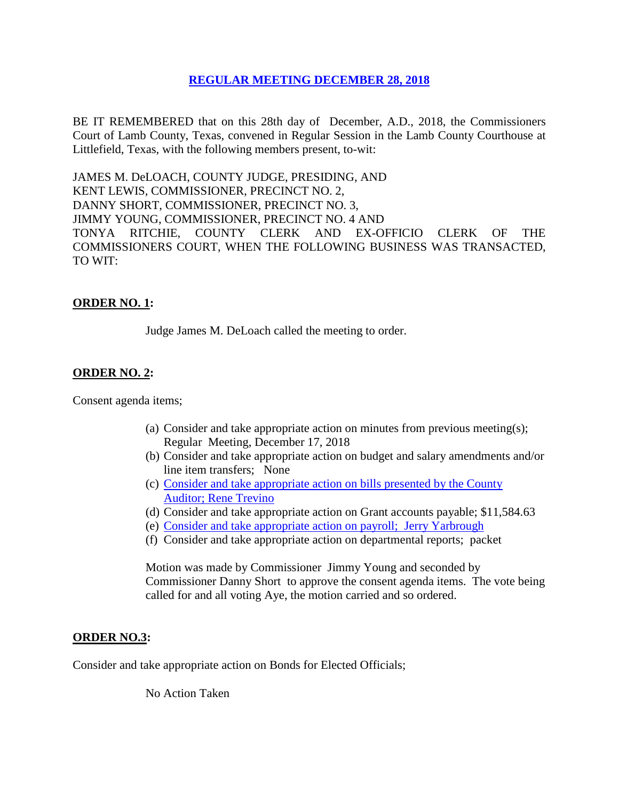## **REGULAR [MEETING DECEMBER 28, 2018](Links%202018-12-28-Regular/01%20AGENDA%20REGULAR%20MEETING%20DECEMBER%2028,%202018.pdf)**

BE IT REMEMBERED that on this 28th day of December, A.D., 2018, the Commissioners Court of Lamb County, Texas, convened in Regular Session in the Lamb County Courthouse at Littlefield, Texas, with the following members present, to-wit:

JAMES M. DeLOACH, COUNTY JUDGE, PRESIDING, AND KENT LEWIS, COMMISSIONER, PRECINCT NO. 2, DANNY SHORT, COMMISSIONER, PRECINCT NO. 3, JIMMY YOUNG, COMMISSIONER, PRECINCT NO. 4 AND TONYA RITCHIE, COUNTY CLERK AND EX-OFFICIO CLERK OF THE COMMISSIONERS COURT, WHEN THE FOLLOWING BUSINESS WAS TRANSACTED, TO WIT:

# **ORDER NO. 1:**

Judge James M. DeLoach called the meeting to order.

### **ORDER NO. 2:**

Consent agenda items;

- (a) Consider and take appropriate action on minutes from previous meeting(s); Regular Meeting, December 17, 2018
- (b) Consider and take appropriate action on budget and salary amendments and/or line item transfers; None
- (c) [Consider and take appropriate action on bills presented by the County](Links%202018-12-28-Regular/03%20ACCOUNTS%20PAYABLE%20REGULAR%20MEETING%20DECEMBER%2028,%202018.pdf)  Auditor; [Rene Trevino](Links%202018-12-28-Regular/03%20ACCOUNTS%20PAYABLE%20REGULAR%20MEETING%20DECEMBER%2028,%202018.pdf)
- (d) Consider and take appropriate action on Grant accounts payable; \$11,584.63
- (e) [Consider and take appropriate action on payroll; Jerry Yarbrough](Links%202018-12-28-Regular/04%20PAYROLL%20PAYABLES%20REGULAR%20MEETING%20DECEMBER%2028,%202018.pdf)
- (f) Consider and take appropriate action on departmental reports; packet

Motion was made by Commissioner Jimmy Young and seconded by Commissioner Danny Short to approve the consent agenda items. The vote being called for and all voting Aye, the motion carried and so ordered.

#### **ORDER NO.3:**

Consider and take appropriate action on Bonds for Elected Officials;

No Action Taken